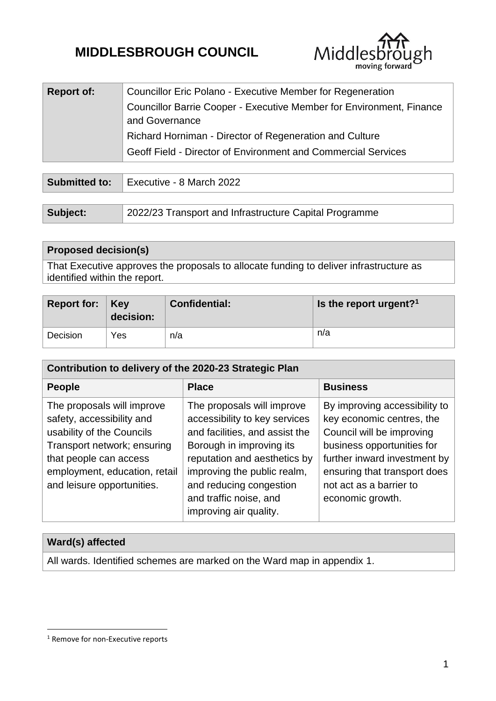# **MIDDLESBROUGH COUNCIL**



| <b>Report of:</b> | Councillor Eric Polano - Executive Member for Regeneration           |  |
|-------------------|----------------------------------------------------------------------|--|
|                   | Councillor Barrie Cooper - Executive Member for Environment, Finance |  |
|                   | and Governance                                                       |  |
|                   | Richard Horniman - Director of Regeneration and Culture              |  |
|                   | Geoff Field - Director of Environment and Commercial Services        |  |

| Submitted to: | Executive - 8 March 2022                               |  |  |
|---------------|--------------------------------------------------------|--|--|
|               |                                                        |  |  |
| Subject:      | 2022/23 Transport and Infrastructure Capital Programme |  |  |

| <b>Proposed decision(s)</b>                                                            |
|----------------------------------------------------------------------------------------|
| That Executive approves the proposals to allocate funding to deliver infrastructure as |
| identified within the report.                                                          |

| Report for: $Key$ | decision: | <b>Confidential:</b> | Is the report urgent? <sup>1</sup> |
|-------------------|-----------|----------------------|------------------------------------|
| Decision          | Yes       | n/a                  | n/a                                |

| Contribution to delivery of the 2020-23 Strategic Plan                                                                                                                                                       |                                                                                                                                                                                                                                                                         |                                                                                                                                                                                                                                      |  |  |  |
|--------------------------------------------------------------------------------------------------------------------------------------------------------------------------------------------------------------|-------------------------------------------------------------------------------------------------------------------------------------------------------------------------------------------------------------------------------------------------------------------------|--------------------------------------------------------------------------------------------------------------------------------------------------------------------------------------------------------------------------------------|--|--|--|
| <b>People</b>                                                                                                                                                                                                | <b>Place</b>                                                                                                                                                                                                                                                            | <b>Business</b>                                                                                                                                                                                                                      |  |  |  |
| The proposals will improve<br>safety, accessibility and<br>usability of the Councils<br>Transport network; ensuring<br>that people can access<br>employment, education, retail<br>and leisure opportunities. | The proposals will improve<br>accessibility to key services<br>and facilities, and assist the<br>Borough in improving its<br>reputation and aesthetics by<br>improving the public realm,<br>and reducing congestion<br>and traffic noise, and<br>improving air quality. | By improving accessibility to<br>key economic centres, the<br>Council will be improving<br>business opportunities for<br>further inward investment by<br>ensuring that transport does<br>not act as a barrier to<br>economic growth. |  |  |  |

## **Ward(s) affected**

1

All wards. Identified schemes are marked on the Ward map in appendix 1.

<sup>&</sup>lt;sup>1</sup> Remove for non-Executive reports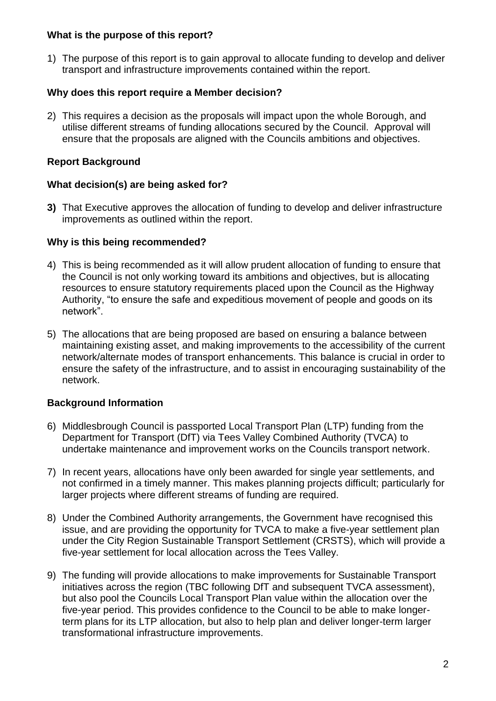#### **What is the purpose of this report?**

1) The purpose of this report is to gain approval to allocate funding to develop and deliver transport and infrastructure improvements contained within the report.

## **Why does this report require a Member decision?**

2) This requires a decision as the proposals will impact upon the whole Borough, and utilise different streams of funding allocations secured by the Council. Approval will ensure that the proposals are aligned with the Councils ambitions and objectives.

## **Report Background**

## **What decision(s) are being asked for?**

**3)** That Executive approves the allocation of funding to develop and deliver infrastructure improvements as outlined within the report.

## **Why is this being recommended?**

- 4) This is being recommended as it will allow prudent allocation of funding to ensure that the Council is not only working toward its ambitions and objectives, but is allocating resources to ensure statutory requirements placed upon the Council as the Highway Authority, "to ensure the safe and expeditious movement of people and goods on its network".
- 5) The allocations that are being proposed are based on ensuring a balance between maintaining existing asset, and making improvements to the accessibility of the current network/alternate modes of transport enhancements. This balance is crucial in order to ensure the safety of the infrastructure, and to assist in encouraging sustainability of the network.

## **Background Information**

- 6) Middlesbrough Council is passported Local Transport Plan (LTP) funding from the Department for Transport (DfT) via Tees Valley Combined Authority (TVCA) to undertake maintenance and improvement works on the Councils transport network.
- 7) In recent years, allocations have only been awarded for single year settlements, and not confirmed in a timely manner. This makes planning projects difficult; particularly for larger projects where different streams of funding are required.
- 8) Under the Combined Authority arrangements, the Government have recognised this issue, and are providing the opportunity for TVCA to make a five-year settlement plan under the City Region Sustainable Transport Settlement (CRSTS), which will provide a five-year settlement for local allocation across the Tees Valley.
- 9) The funding will provide allocations to make improvements for Sustainable Transport initiatives across the region (TBC following DfT and subsequent TVCA assessment), but also pool the Councils Local Transport Plan value within the allocation over the five-year period. This provides confidence to the Council to be able to make longerterm plans for its LTP allocation, but also to help plan and deliver longer-term larger transformational infrastructure improvements.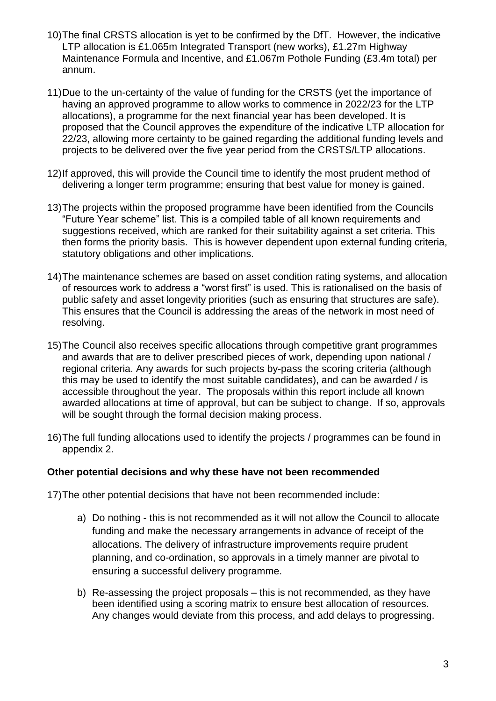- 10)The final CRSTS allocation is yet to be confirmed by the DfT. However, the indicative LTP allocation is £1.065m Integrated Transport (new works), £1.27m Highway Maintenance Formula and Incentive, and £1.067m Pothole Funding (£3.4m total) per annum.
- 11)Due to the un-certainty of the value of funding for the CRSTS (yet the importance of having an approved programme to allow works to commence in 2022/23 for the LTP allocations), a programme for the next financial year has been developed. It is proposed that the Council approves the expenditure of the indicative LTP allocation for 22/23, allowing more certainty to be gained regarding the additional funding levels and projects to be delivered over the five year period from the CRSTS/LTP allocations.
- 12)If approved, this will provide the Council time to identify the most prudent method of delivering a longer term programme; ensuring that best value for money is gained.
- 13)The projects within the proposed programme have been identified from the Councils "Future Year scheme" list. This is a compiled table of all known requirements and suggestions received, which are ranked for their suitability against a set criteria. This then forms the priority basis. This is however dependent upon external funding criteria, statutory obligations and other implications.
- 14)The maintenance schemes are based on asset condition rating systems, and allocation of resources work to address a "worst first" is used. This is rationalised on the basis of public safety and asset longevity priorities (such as ensuring that structures are safe). This ensures that the Council is addressing the areas of the network in most need of resolving.
- 15)The Council also receives specific allocations through competitive grant programmes and awards that are to deliver prescribed pieces of work, depending upon national / regional criteria. Any awards for such projects by-pass the scoring criteria (although this may be used to identify the most suitable candidates), and can be awarded / is accessible throughout the year. The proposals within this report include all known awarded allocations at time of approval, but can be subject to change. If so, approvals will be sought through the formal decision making process.
- 16)The full funding allocations used to identify the projects / programmes can be found in appendix 2.

#### **Other potential decisions and why these have not been recommended**

- 17)The other potential decisions that have not been recommended include:
	- a) Do nothing this is not recommended as it will not allow the Council to allocate funding and make the necessary arrangements in advance of receipt of the allocations. The delivery of infrastructure improvements require prudent planning, and co-ordination, so approvals in a timely manner are pivotal to ensuring a successful delivery programme.
	- b) Re-assessing the project proposals this is not recommended, as they have been identified using a scoring matrix to ensure best allocation of resources. Any changes would deviate from this process, and add delays to progressing.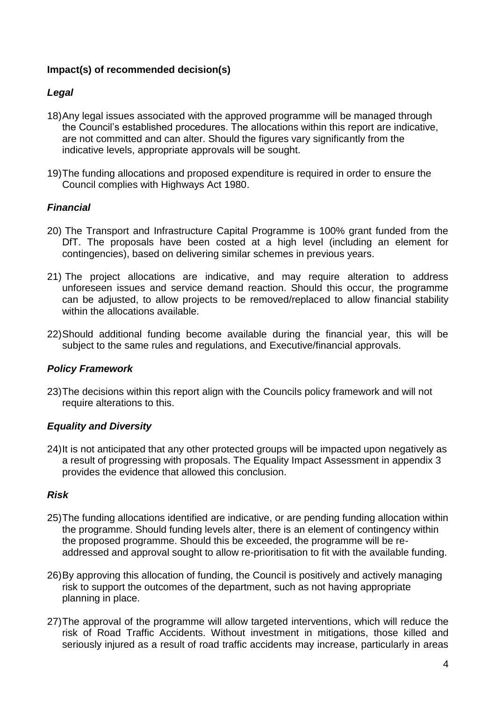## **Impact(s) of recommended decision(s)**

## *Legal*

- 18)Any legal issues associated with the approved programme will be managed through the Council's established procedures. The allocations within this report are indicative, are not committed and can alter. Should the figures vary significantly from the indicative levels, appropriate approvals will be sought.
- 19)The funding allocations and proposed expenditure is required in order to ensure the Council complies with Highways Act 1980.

## *Financial*

- 20) The Transport and Infrastructure Capital Programme is 100% grant funded from the DfT. The proposals have been costed at a high level (including an element for contingencies), based on delivering similar schemes in previous years.
- 21) The project allocations are indicative, and may require alteration to address unforeseen issues and service demand reaction. Should this occur, the programme can be adjusted, to allow projects to be removed/replaced to allow financial stability within the allocations available.
- 22)Should additional funding become available during the financial year, this will be subject to the same rules and regulations, and Executive/financial approvals.

#### *Policy Framework*

23)The decisions within this report align with the Councils policy framework and will not require alterations to this.

#### *Equality and Diversity*

24)It is not anticipated that any other protected groups will be impacted upon negatively as a result of progressing with proposals. The Equality Impact Assessment in appendix 3 provides the evidence that allowed this conclusion.

#### *Risk*

- 25)The funding allocations identified are indicative, or are pending funding allocation within the programme. Should funding levels alter, there is an element of contingency within the proposed programme. Should this be exceeded, the programme will be readdressed and approval sought to allow re-prioritisation to fit with the available funding.
- 26)By approving this allocation of funding, the Council is positively and actively managing risk to support the outcomes of the department, such as not having appropriate planning in place.
- 27)The approval of the programme will allow targeted interventions, which will reduce the risk of Road Traffic Accidents. Without investment in mitigations, those killed and seriously injured as a result of road traffic accidents may increase, particularly in areas